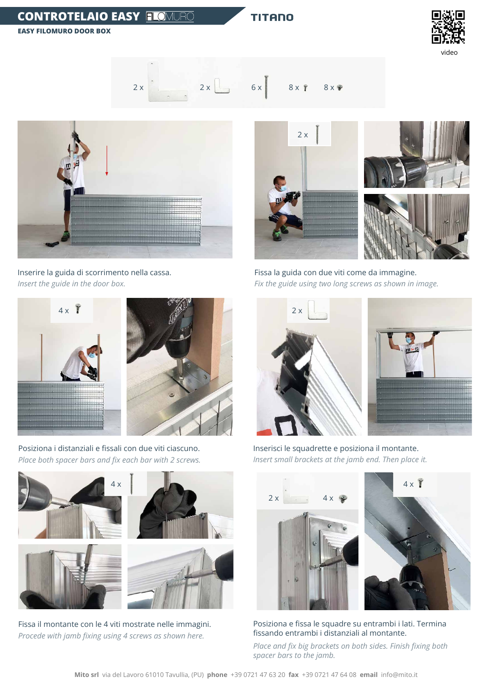## **CONTROTELAIO EASY**

**TITANO** 

**EASY FILOMURO DOOR BOX**





Inserire la guida di scorrimento nella cassa. *Insert the guide in the door box.*

Fissa la guida con due viti come da immagine. *Fix the guide using two long screws as shown in image.*









Posiziona i distanziali e fissali con due viti ciascuno. *Place both spacer bars and fix each bar with 2 screws.*



Inserisci le squadrette e posiziona il montante. *Insert small brackets at the jamb end. Then place it.*



Posiziona e fissa le squadre su entrambi i lati. Termina fissando entrambi i distanziali al montante.

*Place and fix big brackets on both sides. Finish fixing both spacer bars to the jamb.*







**Mito srl** via del Lavoro 61010 Tavullia, (PU) **phone** +39 0721 47 63 20 **fax** +39 0721 47 64 08 **email** info@mito.it